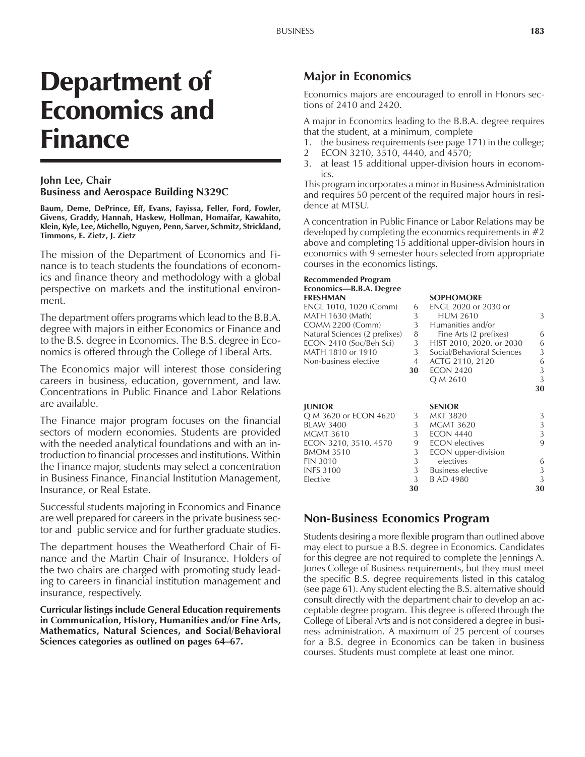# Department of Economics and Finance

#### **John Lee, Chair Business and Aerospace Building N329C**

**Baum, Deme, DePrince, Eff, Evans, Fayissa, Feller, Ford, Fowler, Givens, Graddy, Hannah, Haskew, Hollman, Homaifar, Kawahito, Klein, Kyle, Lee, Michello, Nguyen, Penn, Sarver, Schmitz, Strickland, Timmons, E. Zietz, J. Zietz**

The mission of the Department of Economics and Finance is to teach students the foundations of economics and finance theory and methodology with a global perspective on markets and the institutional environment.

The department offers programs which lead to the B.B.A. degree with majors in either Economics or Finance and to the B.S. degree in Economics. The B.S. degree in Economics is offered through the College of Liberal Arts.

The Economics major will interest those considering careers in business, education, government, and law. Concentrations in Public Finance and Labor Relations are available.

The Finance major program focuses on the financial sectors of modern economies. Students are provided with the needed analytical foundations and with an introduction to financial processes and institutions. Within the Finance major, students may select a concentration in Business Finance, Financial Institution Management, Insurance, or Real Estate.

Successful students majoring in Economics and Finance are well prepared for careers in the private business sector and public service and for further graduate studies.

The department houses the Weatherford Chair of Finance and the Martin Chair of Insurance. Holders of the two chairs are charged with promoting study leading to careers in financial institution management and insurance, respectively.

**Curricular listings include General Education requirements in Communication, History, Humanities and/or Fine Arts, Mathematics, Natural Sciences, and Social/Behavioral** Sciences categories as outlined on pages 64-67.

# **Major in Economics**

Economics majors are encouraged to enroll in Honors sections of 2410 and 2420.

A major in Economics leading to the B.B.A. degree requires that the student, at a minimum, complete

- 1. the business requirements (see page 171) in the college;
- 2 ECON 3210, 3510, 4440, and 4570;
- 3. at least 15 additional upper-division hours in economics.

This program incorporates a minor in Business Administration and requires 50 percent of the required major hours in residence at MTSU.

A concentration in Public Finance or Labor Relations may be developed by completing the economics requirements in  $#2$ above and completing 15 additional upper-division hours in economics with 9 semester hours selected from appropriate courses in the economics listings.

#### **Recommended Program** Economics-B.B.A. Degree **FRESHMAN SOPHOMORE**

| <u>I INLYLIIVYY N</u>         |    | ,,,,,,,,,,,,,,              |    |
|-------------------------------|----|-----------------------------|----|
| ENGL 1010, 1020 (Comm)        | 6  | <b>ENGL 2020 or 2030 or</b> |    |
| MATH 1630 (Math)              | 3  | <b>HUM 2610</b>             | 3  |
| <b>COMM 2200 (Comm)</b>       | 3  | Humanities and/or           |    |
| Natural Sciences (2 prefixes) | 8  | Fine Arts (2 prefixes)      | 6  |
| ECON 2410 (Soc/Beh Sci)       | 3  | HIST 2010, 2020, or 2030    | 6  |
| MATH 1810 or 1910             | 3  | Social/Behavioral Sciences  | 3  |
| Non-business elective         | 4  | ACTG 2110, 2120             | 6  |
|                               | 30 | <b>ECON 2420</b>            | 3  |
|                               |    | Q M 2610                    | 3  |
|                               |    |                             | 30 |
| <b>JUNIOR</b>                 |    | <b>SENIOR</b>               |    |
| Q M 3620 or ECON 4620         | 3  | MKT 3820                    | 3  |
| <b>BLAW 3400</b>              | 3  | <b>MGMT 3620</b>            | 3  |
| <b>MGMT 3610</b>              | 3  | <b>ECON 4440</b>            | 3  |
| ECON 3210, 3510, 4570         | 9  | <b>ECON</b> electives       | 9  |
| <b>BMOM 3510</b>              | 3  | ECON upper-division         |    |
| <b>FIN 3010</b>               | 3  | electives                   | 6  |

INFS 3100 3 Business elective 3<br>Elective 3 B AD 4980 3

B AD 4980

**30 30**

# **Non-Business Economics Program**

Students desiring a more flexible program than outlined above may elect to pursue a B.S. degree in Economics. Candidates for this degree are not required to complete the Jennings A. Jones College of Business requirements, but they must meet the specific B.S. degree requirements listed in this catalog (see page 61). Any student electing the B.S. alternative should consult directly with the department chair to develop an acceptable degree program. This degree is offered through the College of Liberal Arts and is not considered a degree in business administration. A maximum of 25 percent of courses for a B.S. degree in Economics can be taken in business courses. Students must complete at least one minor.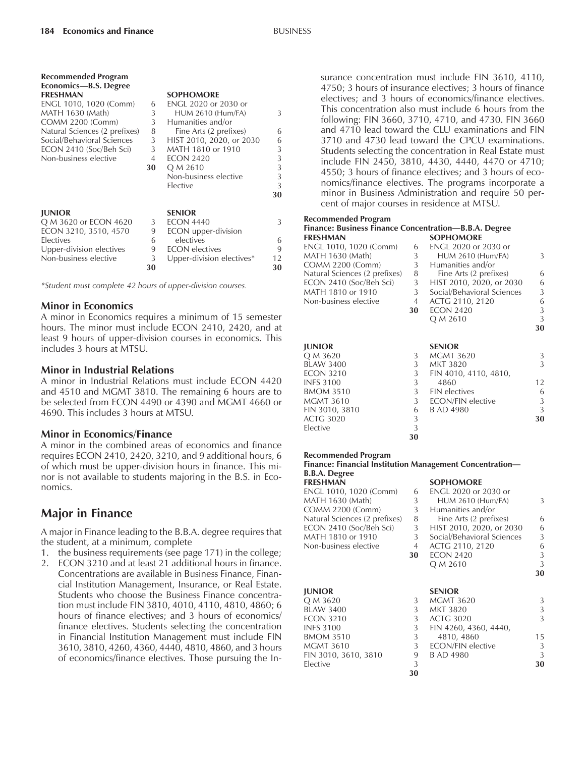**Recommended Program**

| Economics-B.S. Degree         |    |                             |    |
|-------------------------------|----|-----------------------------|----|
| <b>FRESHMAN</b>               |    | <b>SOPHOMORE</b>            |    |
| ENGL 1010, 1020 (Comm)        | 6  | <b>ENGL 2020 or 2030 or</b> |    |
| MATH 1630 (Math)              | 3  | <b>HUM 2610 (Hum/FA)</b>    | 3  |
| <b>COMM 2200 (Comm)</b>       | 3  | Humanities and/or           |    |
| Natural Sciences (2 prefixes) | 8  | Fine Arts (2 prefixes)      | 6  |
| Social/Behavioral Sciences    | 3  | HIST 2010, 2020, or 2030    | 6  |
| ECON 2410 (Soc/Beh Sci)       | 3  | MATH 1810 or 1910           | 3  |
| Non-business elective         | 4  | <b>ECON 2420</b>            | 3  |
|                               | 30 | Q M 2610                    | 3  |
|                               |    | Non-business elective       | 3  |
|                               |    | Elective                    | 3  |
|                               |    |                             | 30 |
| <b>JUNIOR</b>                 |    | <b>SENIOR</b>               |    |
| Q M 3620 or ECON 4620         | 3  | <b>ECON 4440</b>            | 3  |
| ECON 3210, 3510, 4570         | 9  | ECON upper-division         |    |
| Electives                     | 6  | electives                   | 6  |
| Upper-division electives      | 9  | <b>ECON</b> electives       | 9  |
| Non-business elective         | 3  | Upper-division electives*   | 12 |
|                               | 30 |                             | 30 |

*\*Student must complete 42 hours of upper-division courses.*

#### **Minor in Economics**

A minor in Economics requires a minimum of 15 semester hours. The minor must include ECON 2410, 2420, and at least 9 hours of upper-division courses in economics. This includes 3 hours at MTSU.

#### **Minor in Industrial Relations**

A minor in Industrial Relations must include ECON 4420 and 4510 and MGMT 3810. The remaining 6 hours are to be selected from ECON 4490 or 4390 and MGMT 4660 or 4690. This includes 3 hours at MTSU.

#### **Minor in Economics/Finance**

A minor in the combined areas of economics and finance requires ECON 2410, 2420, 3210, and 9 additional hours, 6 of which must be upper-division hours in finance. This minor is not available to students majoring in the B.S. in Economics.

# **Major in Finance**

A major in Finance leading to the B.B.A. degree requires that the student, at a minimum, complete

- 1. the business requirements (see page 171) in the college;
- 2. ECON 3210 and at least 21 additional hours in finance. Concentrations are available in Business Finance, Financial Institution Management, Insurance, or Real Estate. Students who choose the Business Finance concentration must include FIN 3810, 4010, 4110, 4810, 4860; 6 hours of finance electives; and 3 hours of economics/ finance electives. Students selecting the concentration in Financial Institution Management must include FIN 3610, 3810, 4260, 4360, 4440, 4810, 4860, and 3 hours of economics/finance electives. Those pursuing the In-

surance concentration must include FIN 3610, 4110, 4750; 3 hours of insurance electives; 3 hours of finance electives; and 3 hours of economics/finance electives. This concentration also must include 6 hours from the following: FIN 3660, 3710, 4710, and 4730. FIN 3660 and 4710 lead toward the CLU examinations and FIN 3710 and 4730 lead toward the CPCU examinations. Students selecting the concentration in Real Estate must include FIN 2450, 3810, 4430, 4440, 4470 or 4710; 4550; 3 hours of finance electives; and 3 hours of economics/finance electives. The programs incorporate a minor in Business Administration and require 50 percent of major courses in residence at MTSU.

#### **Recommended Program**

| <b>Finance: Business Finance Concentration—B.B.A. Degree</b> |              |                            |    |
|--------------------------------------------------------------|--------------|----------------------------|----|
| <b>FRESHMAN</b>                                              |              | <b>SOPHOMORE</b>           |    |
| ENGL 1010, 1020 (Comm)                                       | 6            | ENGL 2020 or 2030 or       |    |
| MATH 1630 (Math)                                             | 3            | <b>HUM 2610 (Hum/FA)</b>   | 3  |
| <b>COMM 2200 (Comm)</b>                                      | 3            | Humanities and/or          |    |
| Natural Sciences (2 prefixes)                                | 8            | Fine Arts (2 prefixes)     | 6  |
| ECON 2410 (Soc/Beh Sci)                                      | 3            | HIST 2010, 2020, or 2030   | 6  |
| MATH 1810 or 1910                                            | $\mathbf{3}$ | Social/Behavioral Sciences | 3  |
| Non-business elective                                        | 4            | ACTG 2110, 2120            | 6  |
|                                                              | 30           | <b>ECON 2420</b>           | 3  |
|                                                              |              | Q M 2610                   | 3  |
|                                                              |              |                            | 30 |
|                                                              |              |                            |    |
| <b>JUNIOR</b>                                                |              | <b>SENIOR</b>              |    |
| Q M 3620                                                     | 3            | <b>MGMT 3620</b>           | 3  |
| <b>BLAW 3400</b>                                             | 3            | <b>MKT 3820</b>            | 3  |
| <b>ECON 3210</b>                                             | 3            | FIN 4010, 4110, 4810,      |    |
| <b>INFS 3100</b>                                             | 3            | 4860                       | 12 |
| <b>BMOM 3510</b>                                             | 3            | <b>FIN</b> electives       | 6  |
| <b>MGMT 3610</b>                                             | 3            | ECON/FIN elective          | 3  |
| FIN 3010, 3810                                               | 6            | <b>B AD 4980</b>           | 3  |
| <b>ACTG 3020</b>                                             | 3            |                            | 30 |
| Elective                                                     | 3            |                            |    |
|                                                              | 30           |                            |    |

#### **Recommended Program**

**Finance: Financial Institution Management Concentration— B.B.A. Degree**

| FRESHMAN                      |    | <b>SOPHOMORE</b>           |    |
|-------------------------------|----|----------------------------|----|
| ENGL 1010, 1020 (Comm)        | 6  | ENGL 2020 or 2030 or       |    |
| MATH 1630 (Math)              | 3  | <b>HUM 2610 (Hum/FA)</b>   | 3  |
| COMM 2200 (Comm)              | 3  | Humanities and/or          |    |
| Natural Sciences (2 prefixes) | 8  | Fine Arts (2 prefixes)     | 6  |
| ECON 2410 (Soc/Beh Sci)       | 3  | HIST 2010, 2020, or 2030   | 6  |
| MATH 1810 or 1910             | 3  | Social/Behavioral Sciences | 3  |
| Non-business elective         | 4  | ACTG 2110, 2120            | 6  |
|                               | 30 | <b>ECON 2420</b>           | 3  |
|                               |    | Q M 2610                   | 3  |
|                               |    |                            | 30 |
| JUNIOR                        |    | <b>SENIOR</b>              |    |
| O M 3620                      | 3  | <b>MGMT 3620</b>           | 3  |
| <b>BLAW 3400</b>              | 3  | <b>MKT 3820</b>            | 3  |
| <b>ECON 3210</b>              | 3  | <b>ACTG 3020</b>           | 3  |
| <b>INFS 3100</b>              | 3  | FIN 4260, 4360, 4440,      |    |
| <b>BMOM 3510</b>              | 3  | 4810, 4860                 | 15 |
| MGMT 3610                     | 3  | ECON/FIN elective          | 3  |
| FIN 3010, 3610, 3810          | 9  | <b>B AD 4980</b>           | 3  |
| Elective                      | 3  |                            | 30 |
|                               | 30 |                            |    |
|                               |    |                            |    |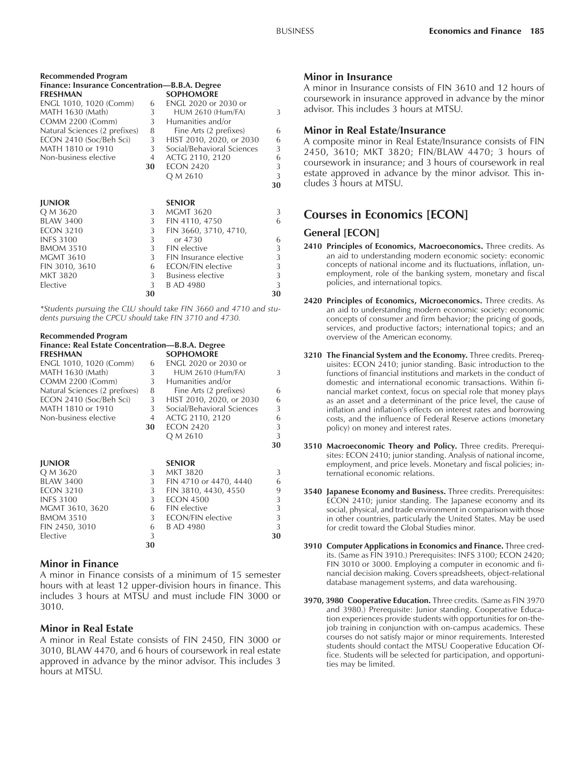| Recommended Program                            |                |                            |    |
|------------------------------------------------|----------------|----------------------------|----|
| Finance: Insurance Concentration—B.B.A. Degree |                |                            |    |
| <b>FRESHMAN</b>                                |                | <b>SOPHOMORE</b>           |    |
| ENGL 1010, 1020 (Comm)                         | 6              | ENGL 2020 or 2030 or       |    |
| MATH 1630 (Math)                               | 3              | <b>HUM 2610 (Hum/FA)</b>   | 3  |
| <b>COMM 2200 (Comm)</b>                        | 3              | Humanities and/or          |    |
| Natural Sciences (2 prefixes)                  | 8              | Fine Arts (2 prefixes)     | 6  |
| ECON 2410 (Soc/Beh Sci)                        | 3              | HIST 2010, 2020, or 2030   | 6  |
| MATH 1810 or 1910                              | 3 <sup>1</sup> | Social/Behavioral Sciences | 3  |
| Non-business elective                          | 4              | ACTG 2110, 2120            | 6  |
|                                                | 30             | <b>ECON 2420</b>           | 3  |
|                                                |                | Q M 2610                   | 3  |
|                                                |                |                            | 30 |
|                                                |                |                            |    |
| <b>JUNIOR</b>                                  |                | <b>SENIOR</b>              |    |
| Q M 3620                                       | 3              | <b>MGMT 3620</b>           | 3  |
| <b>BLAW 3400</b>                               | 3              | FIN 4110, 4750             | 6  |
| <b>ECON 3210</b>                               | 3              | FIN 3660, 3710, 4710,      |    |
| <b>INFS 3100</b>                               | 3              | or 4730                    | 6  |
| <b>BMOM 3510</b>                               | 3              | <b>FIN</b> elective        | 3  |
| <b>MGMT 3610</b>                               | 3              | FIN Insurance elective     | 3  |
| FIN 3010, 3610                                 | 6              | <b>ECON/FIN elective</b>   | 3  |
| <b>MKT 3820</b>                                | 3 <sup>1</sup> | Business elective          | 3  |
| Elective                                       | 3              | B AD 4980                  | 3  |
|                                                | 30             |                            | 30 |
|                                                |                |                            |    |

*\*Students pursuing the CLU should take FIN 3660 and 4710 and students pursuing the CPCU should take FIN 3710 and 4730.*

### **Recommended Program**

| Finance: Real Estate Concentration—B.B.A. Degree |    |                            |    |
|--------------------------------------------------|----|----------------------------|----|
| <b>FRESHMAN</b>                                  |    | <b>SOPHOMORE</b>           |    |
| ENGL 1010, 1020 (Comm)                           | 6  | ENGL 2020 or 2030 or       |    |
| MATH 1630 (Math)                                 | 3  | <b>HUM 2610 (Hum/FA)</b>   | 3  |
| <b>COMM 2200 (Comm)</b>                          | 3  | Humanities and/or          |    |
| Natural Sciences (2 prefixes)                    | 8  | Fine Arts (2 prefixes)     | 6  |
| ECON 2410 (Soc/Beh Sci)                          | 3  | HIST 2010, 2020, or 2030   | 6  |
| MATH 1810 or 1910                                | 3  | Social/Behavioral Sciences | 3  |
| Non-business elective                            | 4  | ACTG 2110, 2120            | 6  |
|                                                  | 30 | <b>ECON 2420</b>           | 3  |
|                                                  |    | Q M 2610                   | 3  |
|                                                  |    |                            | 30 |
| <b>JUNIOR</b>                                    |    | <b>SENIOR</b>              |    |
| Q M 3620                                         | 3  | <b>MKT 3820</b>            | 3  |
| <b>BLAW 3400</b>                                 | 3  | FIN 4710 or 4470, 4440     | 6  |
| <b>ECON 3210</b>                                 | 3  | FIN 3810, 4430, 4550       | 9  |
| <b>INFS 3100</b>                                 | 3  | <b>ECON 4500</b>           | 3  |
| MGMT 3610, 3620                                  | 6  | <b>FIN</b> elective        | 3  |
| <b>BMOM 3510</b>                                 | 3  | <b>ECON/FIN elective</b>   | 3  |
| FIN 2450, 3010                                   | 6  | <b>B AD 4980</b>           | 3  |
| Elective                                         | 3  |                            | 30 |
|                                                  | 30 |                            |    |
|                                                  |    |                            |    |

#### **Minor in Finance**

A minor in Finance consists of a minimum of 15 semester hours with at least 12 upper-division hours in finance. This includes 3 hours at MTSU and must include FIN 3000 or 3010.

#### **Minor in Real Estate**

A minor in Real Estate consists of FIN 2450, FIN 3000 or 3010, BLAW 4470, and 6 hours of coursework in real estate approved in advance by the minor advisor. This includes 3 hours at MTSU.

#### **Minor in Insurance**

A minor in Insurance consists of FIN 3610 and 12 hours of coursework in insurance approved in advance by the minor advisor. This includes 3 hours at MTSU.

#### **Minor in Real Estate/Insurance**

A composite minor in Real Estate/Insurance consists of FIN 2450, 3610; MKT 3820; FIN/BLAW 4470; 3 hours of coursework in insurance; and 3 hours of coursework in real estate approved in advance by the minor advisor. This includes 3 hours at MTSU.

# **Courses in Economics [ECON]**

#### **General [ECON]**

- **2410 Principles of Economics, Macroeconomics.** Three credits. As an aid to understanding modern economic society: economic concepts of national income and its fluctuations, inflation, unemployment, role of the banking system, monetary and fiscal policies, and international topics.
- **2420 Principles of Economics, Microeconomics.** Three credits. As an aid to understanding modern economic society: economic concepts of consumer and firm behavior; the pricing of goods, services, and productive factors; international topics; and an overview of the American economy.
- **3210 The Financial System and the Economy.** Three credits. Prerequisites: ECON 2410; junior standing. Basic introduction to the functions of financial institutions and markets in the conduct of domestic and international economic transactions. Within financial market context, focus on special role that money plays as an asset and a determinant of the price level, the cause of inflation and inflation's effects on interest rates and borrowing costs, and the influence of Federal Reserve actions (monetary policy) on money and interest rates.
- **3510 Macroeconomic Theory and Policy.** Three credits. Prerequisites: ECON 2410; junior standing. Analysis of national income, employment, and price levels. Monetary and fiscal policies; international economic relations.
- **3540 Japanese Economy and Business.** Three credits. Prerequisites: ECON 2410; junior standing. The Japanese economy and its social, physical, and trade environment in comparison with those in other countries, particularly the United States. May be used for credit toward the Global Studies minor.
- **3910 Computer Applications in Economics and Finance.** Three credits. (Same as FIN 3910.) Prerequisites: INFS 3100; ECON 2420; FIN 3010 or 3000. Employing a computer in economic and financial decision making. Covers spreadsheets, object-relational database management systems, and data warehousing.
- **3970, 3980 Cooperative Education.** Three credits. (Same as FIN 3970 and 3980.) Prerequisite: Junior standing. Cooperative Education experiences provide students with opportunities for on-thejob training in conjunction with on-campus academics. These courses do not satisfy major or minor requirements. Interested students should contact the MTSU Cooperative Education Office. Students will be selected for participation, and opportunities may be limited.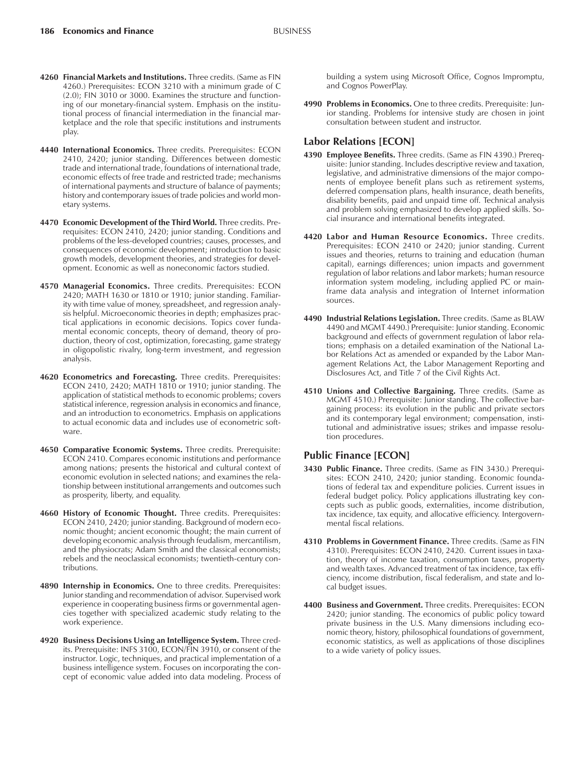- **4260 Financial Markets and Institutions.** Three credits. (Same as FIN 4260.) Prerequisites: ECON 3210 with a minimum grade of C (2.0); FIN 3010 or 3000. Examines the structure and functioning of our monetary-financial system. Emphasis on the institutional process of financial intermediation in the financial marketplace and the role that specific institutions and instruments play.
- **4440 International Economics.** Three credits. Prerequisites: ECON 2410, 2420; junior standing. Differences between domestic trade and international trade, foundations of international trade, economic effects of free trade and restricted trade; mechanisms of international payments and structure of balance of payments; history and contemporary issues of trade policies and world monetary systems.
- **4470 Economic Development of the Third World.** Three credits. Prerequisites: ECON 2410, 2420; junior standing. Conditions and problems of the less-developed countries; causes, processes, and consequences of economic development; introduction to basic growth models, development theories, and strategies for development. Economic as well as noneconomic factors studied.
- **4570 Managerial Economics.** Three credits. Prerequisites: ECON 2420; MATH 1630 or 1810 or 1910; junior standing. Familiarity with time value of money, spreadsheet, and regression analysis helpful. Microeconomic theories in depth; emphasizes practical applications in economic decisions. Topics cover fundamental economic concepts, theory of demand, theory of production, theory of cost, optimization, forecasting, game strategy in oligopolistic rivalry, long-term investment, and regression analysis.
- **4620 Econometrics and Forecasting.** Three credits. Prerequisites: ECON 2410, 2420; MATH 1810 or 1910; junior standing. The application of statistical methods to economic problems; covers statistical inference, regression analysis in economics and finance, and an introduction to econometrics. Emphasis on applications to actual economic data and includes use of econometric software.
- **4650 Comparative Economic Systems.** Three credits. Prerequisite: ECON 2410. Compares economic institutions and performance among nations; presents the historical and cultural context of economic evolution in selected nations; and examines the relationship between institutional arrangements and outcomes such as prosperity, liberty, and equality.
- **4660 History of Economic Thought.** Three credits. Prerequisites: ECON 2410, 2420; junior standing. Background of modern economic thought; ancient economic thought; the main current of developing economic analysis through feudalism, mercantilism, and the physiocrats; Adam Smith and the classical economists; rebels and the neoclassical economists; twentieth-century contributions.
- **4890 Internship in Economics.** One to three credits. Prerequisites: Junior standing and recommendation of advisor. Supervised work experience in cooperating business firms or governmental agencies together with specialized academic study relating to the work experience.
- **4920 Business Decisions Using an Intelligence System.** Three credits. Prerequisite: INFS 3100, ECON/FIN 3910, or consent of the instructor. Logic, techniques, and practical implementation of a business intelligence system. Focuses on incorporating the concept of economic value added into data modeling. Process of

building a system using Microsoft Office, Cognos Impromptu, and Cognos PowerPlay.

**4990 Problems in Economics.** One to three credits. Prerequisite: Junior standing. Problems for intensive study are chosen in joint consultation between student and instructor.

#### **Labor Relations [ECON]**

- **4390 Employee Benefits.** Three credits. (Same as FIN 4390.) Prerequisite: Junior standing. Includes descriptive review and taxation, legislative, and administrative dimensions of the major components of employee benefit plans such as retirement systems, deferred compensation plans, health insurance, death benefits, disability benefits, paid and unpaid time off. Technical analysis and problem solving emphasized to develop applied skills. Social insurance and international benefits integrated.
- **4420 Labor and Human Resource Economics.** Three credits. Prerequisites: ECON 2410 or 2420; junior standing. Current issues and theories, returns to training and education (human capital), earnings differences; union impacts and government regulation of labor relations and labor markets; human resource information system modeling, including applied PC or mainframe data analysis and integration of Internet information sources.
- **4490 Industrial Relations Legislation.** Three credits. (Same as BLAW 4490 and MGMT 4490.) Prerequisite: Junior standing. Economic background and effects of government regulation of labor relations; emphasis on a detailed examination of the National Labor Relations Act as amended or expanded by the Labor Management Relations Act, the Labor Management Reporting and Disclosures Act, and Title 7 of the Civil Rights Act.
- **4510 Unions and Collective Bargaining.** Three credits. (Same as MGMT 4510.) Prerequisite: Junior standing. The collective bargaining process: its evolution in the public and private sectors and its contemporary legal environment; compensation, institutional and administrative issues; strikes and impasse resolution procedures.

### **Public Finance [ECON]**

- **3430 Public Finance.** Three credits. (Same as FIN 3430.) Prerequisites: ECON 2410, 2420; junior standing. Economic foundations of federal tax and expenditure policies. Current issues in federal budget policy. Policy applications illustrating key concepts such as public goods, externalities, income distribution, tax incidence, tax equity, and allocative efficiency. Intergovernmental fiscal relations.
- **4310 Problems in Government Finance.** Three credits. (Same as FIN 4310). Prerequisites: ECON 2410, 2420. Current issues in taxation, theory of income taxation, consumption taxes, property and wealth taxes. Advanced treatment of tax incidence, tax efficiency, income distribution, fiscal federalism, and state and local budget issues.
- **4400 Business and Government.** Three credits. Prerequisites: ECON 2420; junior standing. The economics of public policy toward private business in the U.S. Many dimensions including economic theory, history, philosophical foundations of government, economic statistics, as well as applications of those disciplines to a wide variety of policy issues.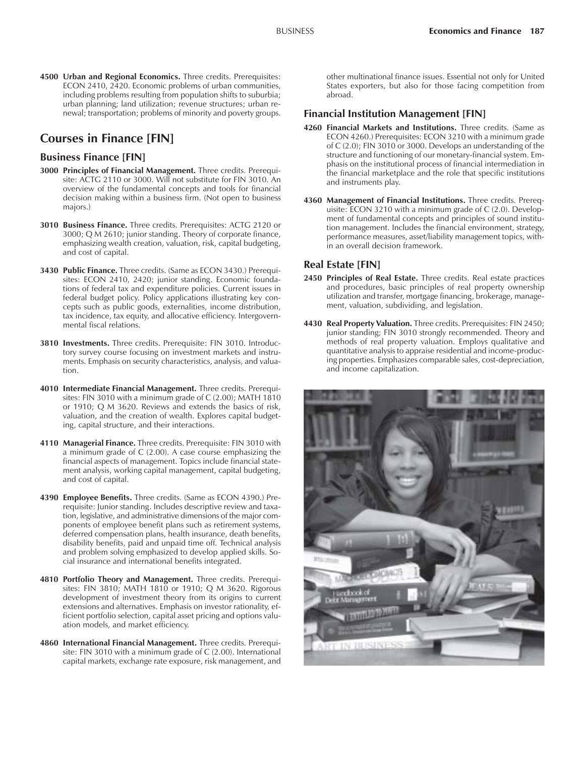**4500 Urban and Regional Economics.** Three credits. Prerequisites: ECON 2410, 2420. Economic problems of urban communities, including problems resulting from population shifts to suburbia; urban planning; land utilization; revenue structures; urban renewal; transportation; problems of minority and poverty groups.

## **Courses in Finance [FIN]**

#### **Business Finance [FIN]**

- **3000 Principles of Financial Management.** Three credits. Prerequisite: ACTG 2110 or 3000. Will not substitute for FIN 3010. An overview of the fundamental concepts and tools for financial decision making within a business firm. (Not open to business majors.)
- **3010 Business Finance.** Three credits. Prerequisites: ACTG 2120 or 3000; Q M 2610; junior standing. Theory of corporate finance, emphasizing wealth creation, valuation, risk, capital budgeting, and cost of capital.
- **3430 Public Finance.** Three credits. (Same as ECON 3430.) Prerequisites: ECON 2410, 2420; junior standing. Economic foundations of federal tax and expenditure policies. Current issues in federal budget policy. Policy applications illustrating key concepts such as public goods, externalities, income distribution, tax incidence, tax equity, and allocative efficiency. Intergovernmental fiscal relations.
- **3810 Investments.** Three credits. Prerequisite: FIN 3010. Introductory survey course focusing on investment markets and instruments. Emphasis on security characteristics, analysis, and valuation.
- **4010 Intermediate Financial Management.** Three credits. Prerequisites: FIN 3010 with a minimum grade of C (2.00); MATH 1810 or 1910; Q M 3620. Reviews and extends the basics of risk, valuation, and the creation of wealth. Explores capital budgeting, capital structure, and their interactions.
- **4110 Managerial Finance.** Three credits. Prerequisite: FIN 3010 with a minimum grade of C (2.00). A case course emphasizing the financial aspects of management. Topics include financial statement analysis, working capital management, capital budgeting, and cost of capital.
- **4390 Employee Benefits.** Three credits. (Same as ECON 4390.) Prerequisite: Junior standing. Includes descriptive review and taxation, legislative, and administrative dimensions of the major components of employee benefit plans such as retirement systems, deferred compensation plans, health insurance, death benefits, disability benefits, paid and unpaid time off. Technical analysis and problem solving emphasized to develop applied skills. Social insurance and international benefits integrated.
- **4810 Portfolio Theory and Management.** Three credits. Prerequisites: FIN 3810; MATH 1810 or 1910; Q M 3620. Rigorous development of investment theory from its origins to current extensions and alternatives. Emphasis on investor rationality, efficient portfolio selection, capital asset pricing and options valuation models, and market efficiency.
- **4860 International Financial Management.** Three credits. Prerequisite: FIN 3010 with a minimum grade of C (2.00). International capital markets, exchange rate exposure, risk management, and

other multinational finance issues. Essential not only for United States exporters, but also for those facing competition from abroad.

#### **Financial Institution Management [FIN]**

- **4260 Financial Markets and Institutions.** Three credits. (Same as ECON 4260.) Prerequisites: ECON 3210 with a minimum grade of C (2.0); FIN 3010 or 3000. Develops an understanding of the structure and functioning of our monetary-financial system. Emphasis on the institutional process of financial intermediation in the financial marketplace and the role that specific institutions and instruments play.
- **4360 Management of Financial Institutions.** Three credits. Prerequisite: ECON 3210 with a minimum grade of C (2.0). Development of fundamental concepts and principles of sound institution management. Includes the financial environment, strategy, performance measures, asset/liability management topics, within an overall decision framework.

#### **Real Estate [FIN]**

- **2450 Principles of Real Estate.** Three credits. Real estate practices and procedures, basic principles of real property ownership utilization and transfer, mortgage financing, brokerage, management, valuation, subdividing, and legislation.
- **4430 Real Property Valuation.** Three credits. Prerequisites: FIN 2450; junior standing; FIN 3010 strongly recommended. Theory and methods of real property valuation. Employs qualitative and quantitative analysis to appraise residential and income-producing properties. Emphasizes comparable sales, cost-depreciation, and income capitalization.